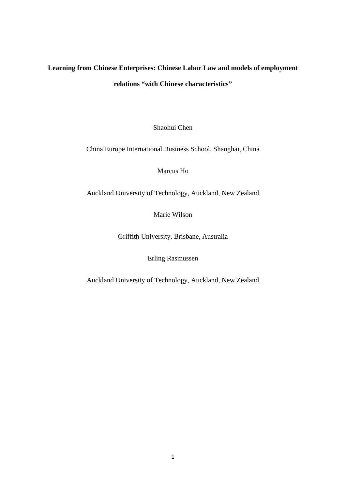# **Learning from Chinese Enterprises: Chinese Labor Law and models of employment relations "with Chinese characteristics"**

Shaohui Chen

China Europe International Business School, Shanghai, China

Marcus Ho

Auckland University of Technology, Auckland, New Zealand

Marie Wilson

Griffith University, Brisbane, Australia

Erling Rasmussen

Auckland University of Technology, Auckland, New Zealand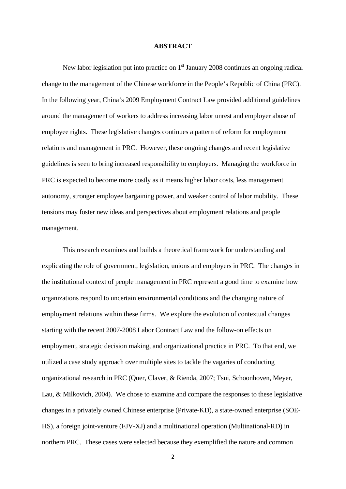#### **ABSTRACT**

New labor legislation put into practice on  $1<sup>st</sup>$  January 2008 continues an ongoing radical change to the management of the Chinese workforce in the People's Republic of China (PRC). In the following year, China's 2009 Employment Contract Law provided additional guidelines around the management of workers to address increasing labor unrest and employer abuse of employee rights. These legislative changes continues a pattern of reform for employment relations and management in PRC. However, these ongoing changes and recent legislative guidelines is seen to bring increased responsibility to employers. Managing the workforce in PRC is expected to become more costly as it means higher labor costs, less management autonomy, stronger employee bargaining power, and weaker control of labor mobility. These tensions may foster new ideas and perspectives about employment relations and people management.

This research examines and builds a theoretical framework for understanding and explicating the role of government, legislation, unions and employers in PRC. The changes in the institutional context of people management in PRC represent a good time to examine how organizations respond to uncertain environmental conditions and the changing nature of employment relations within these firms. We explore the evolution of contextual changes starting with the recent 2007-2008 Labor Contract Law and the follow-on effects on employment, strategic decision making, and organizational practice in PRC. To that end, we utilized a case study approach over multiple sites to tackle the vagaries of conducting organizational research in PRC (Quer, Claver, & Rienda, 2007; Tsui, Schoonhoven, Meyer, Lau, & Milkovich, 2004). We chose to examine and compare the responses to these legislative changes in a privately owned Chinese enterprise (Private-KD), a state-owned enterprise (SOE-HS), a foreign joint-venture (FJV-XJ) and a multinational operation (Multinational-RD) in northern PRC. These cases were selected because they exemplified the nature and common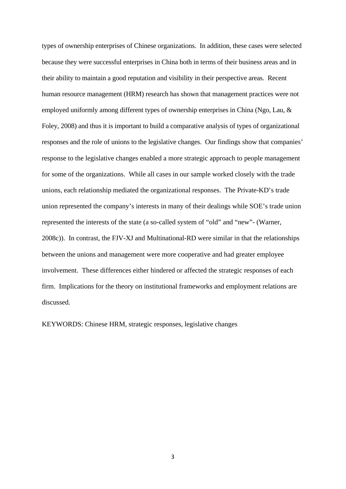types of ownership enterprises of Chinese organizations. In addition, these cases were selected because they were successful enterprises in China both in terms of their business areas and in their ability to maintain a good reputation and visibility in their perspective areas. Recent human resource management (HRM) research has shown that management practices were not employed uniformly among different types of ownership enterprises in China (Ngo, Lau, & Foley, 2008) and thus it is important to build a comparative analysis of types of organizational responses and the role of unions to the legislative changes. Our findings show that companies' response to the legislative changes enabled a more strategic approach to people management for some of the organizations. While all cases in our sample worked closely with the trade unions, each relationship mediated the organizational responses. The Private-KD's trade union represented the company's interests in many of their dealings while SOE's trade union represented the interests of the state (a so-called system of "old" and "new"- (Warner, 2008c)). In contrast, the FJV-XJ and Multinational-RD were similar in that the relationships between the unions and management were more cooperative and had greater employee involvement. These differences either hindered or affected the strategic responses of each firm. Implications for the theory on institutional frameworks and employment relations are discussed.

KEYWORDS: Chinese HRM, strategic responses, legislative changes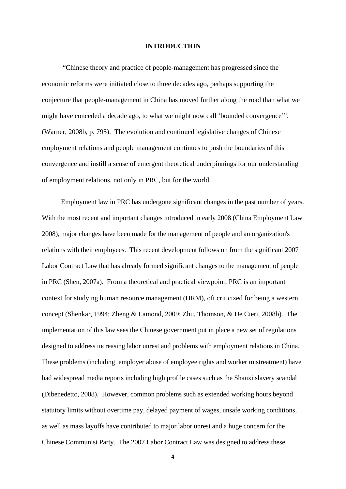#### **INTRODUCTION**

"Chinese theory and practice of people-management has progressed since the economic reforms were initiated close to three decades ago, perhaps supporting the conjecture that people-management in China has moved further along the road than what we might have conceded a decade ago, to what we might now call 'bounded convergence'". (Warner, 2008b, p. 795). The evolution and continued legislative changes of Chinese employment relations and people management continues to push the boundaries of this convergence and instill a sense of emergent theoretical underpinnings for our understanding of employment relations, not only in PRC, but for the world.

 Employment law in PRC has undergone significant changes in the past number of years. With the most recent and important changes introduced in early 2008 (China Employment Law 2008), major changes have been made for the management of people and an organization's relations with their employees. This recent development follows on from the significant 2007 Labor Contract Law that has already formed significant changes to the management of people in PRC (Shen, 2007a). From a theoretical and practical viewpoint, PRC is an important context for studying human resource management (HRM), oft criticized for being a western concept (Shenkar, 1994; Zheng & Lamond, 2009; Zhu, Thomson, & De Cieri, 2008b). The implementation of this law sees the Chinese government put in place a new set of regulations designed to address increasing labor unrest and problems with employment relations in China. These problems (including employer abuse of employee rights and worker mistreatment) have had widespread media reports including high profile cases such as the Shanxi slavery scandal (Dibenedetto, 2008). However, common problems such as extended working hours beyond statutory limits without overtime pay, delayed payment of wages, unsafe working conditions, as well as mass layoffs have contributed to major labor unrest and a huge concern for the Chinese Communist Party. The 2007 Labor Contract Law was designed to address these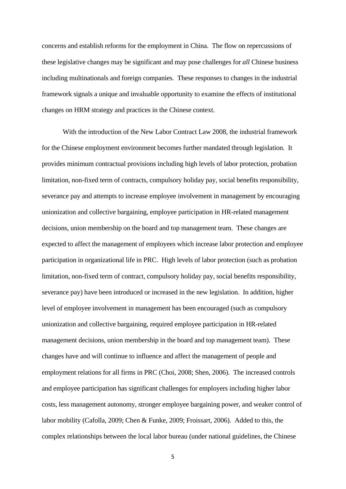concerns and establish reforms for the employment in China. The flow on repercussions of these legislative changes may be significant and may pose challenges for *all* Chinese business including multinationals and foreign companies. These responses to changes in the industrial framework signals a unique and invaluable opportunity to examine the effects of institutional changes on HRM strategy and practices in the Chinese context.

 With the introduction of the New Labor Contract Law 2008, the industrial framework for the Chinese employment environment becomes further mandated through legislation. It provides minimum contractual provisions including high levels of labor protection, probation limitation, non-fixed term of contracts, compulsory holiday pay, social benefits responsibility, severance pay and attempts to increase employee involvement in management by encouraging unionization and collective bargaining, employee participation in HR-related management decisions, union membership on the board and top management team. These changes are expected to affect the management of employees which increase labor protection and employee participation in organizational life in PRC. High levels of labor protection (such as probation limitation, non-fixed term of contract, compulsory holiday pay, social benefits responsibility, severance pay) have been introduced or increased in the new legislation. In addition, higher level of employee involvement in management has been encouraged (such as compulsory unionization and collective bargaining, required employee participation in HR-related management decisions, union membership in the board and top management team). These changes have and will continue to influence and affect the management of people and employment relations for all firms in PRC (Choi, 2008; Shen, 2006). The increased controls and employee participation has significant challenges for employers including higher labor costs, less management autonomy, stronger employee bargaining power, and weaker control of labor mobility (Cafolla, 2009; Chen & Funke, 2009; Froissart, 2006). Added to this, the complex relationships between the local labor bureau (under national guidelines, the Chinese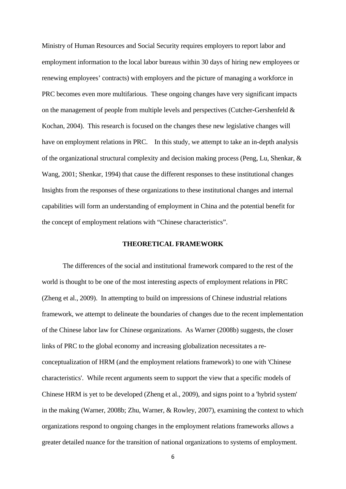Ministry of Human Resources and Social Security requires employers to report labor and employment information to the local labor bureaus within 30 days of hiring new employees or renewing employees' contracts) with employers and the picture of managing a workforce in PRC becomes even more multifarious. These ongoing changes have very significant impacts on the management of people from multiple levels and perspectives (Cutcher-Gershenfeld & Kochan, 2004). This research is focused on the changes these new legislative changes will have on employment relations in PRC. In this study, we attempt to take an in-depth analysis of the organizational structural complexity and decision making process (Peng, Lu, Shenkar, & Wang, 2001; Shenkar, 1994) that cause the different responses to these institutional changes Insights from the responses of these organizations to these institutional changes and internal capabilities will form an understanding of employment in China and the potential benefit for the concept of employment relations with "Chinese characteristics".

## **THEORETICAL FRAMEWORK**

 The differences of the social and institutional framework compared to the rest of the world is thought to be one of the most interesting aspects of employment relations in PRC (Zheng et al., 2009). In attempting to build on impressions of Chinese industrial relations framework, we attempt to delineate the boundaries of changes due to the recent implementation of the Chinese labor law for Chinese organizations. As Warner (2008b) suggests, the closer links of PRC to the global economy and increasing globalization necessitates a reconceptualization of HRM (and the employment relations framework) to one with 'Chinese characteristics'. While recent arguments seem to support the view that a specific models of Chinese HRM is yet to be developed (Zheng et al., 2009), and signs point to a 'hybrid system' in the making (Warner, 2008b; Zhu, Warner, & Rowley, 2007), examining the context to which organizations respond to ongoing changes in the employment relations frameworks allows a greater detailed nuance for the transition of national organizations to systems of employment.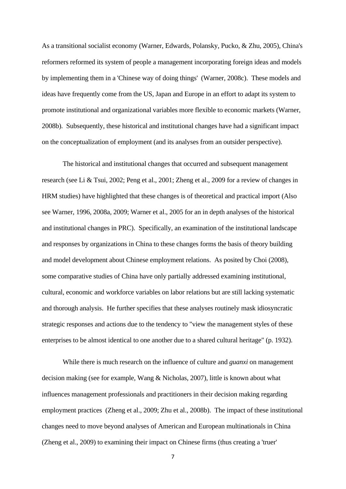As a transitional socialist economy (Warner, Edwards, Polansky, Pucko, & Zhu, 2005), China's reformers reformed its system of people a management incorporating foreign ideas and models by implementing them in a 'Chinese way of doing things' (Warner, 2008c). These models and ideas have frequently come from the US, Japan and Europe in an effort to adapt its system to promote institutional and organizational variables more flexible to economic markets (Warner, 2008b). Subsequently, these historical and institutional changes have had a significant impact on the conceptualization of employment (and its analyses from an outsider perspective).

 The historical and institutional changes that occurred and subsequent management research (see Li & Tsui, 2002; Peng et al., 2001; Zheng et al., 2009 for a review of changes in HRM studies) have highlighted that these changes is of theoretical and practical import (Also see Warner, 1996, 2008a, 2009; Warner et al., 2005 for an in depth analyses of the historical and institutional changes in PRC). Specifically, an examination of the institutional landscape and responses by organizations in China to these changes forms the basis of theory building and model development about Chinese employment relations. As posited by Choi (2008), some comparative studies of China have only partially addressed examining institutional, cultural, economic and workforce variables on labor relations but are still lacking systematic and thorough analysis. He further specifies that these analyses routinely mask idiosyncratic strategic responses and actions due to the tendency to "view the management styles of these enterprises to be almost identical to one another due to a shared cultural heritage" (p. 1932).

 While there is much research on the influence of culture and *guanxi* on management decision making (see for example, Wang & Nicholas, 2007), little is known about what influences management professionals and practitioners in their decision making regarding employment practices (Zheng et al., 2009; Zhu et al., 2008b). The impact of these institutional changes need to move beyond analyses of American and European multinationals in China (Zheng et al., 2009) to examining their impact on Chinese firms (thus creating a 'truer'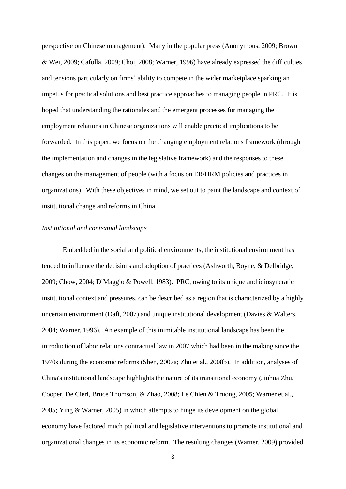perspective on Chinese management). Many in the popular press (Anonymous, 2009; Brown & Wei, 2009; Cafolla, 2009; Choi, 2008; Warner, 1996) have already expressed the difficulties and tensions particularly on firms' ability to compete in the wider marketplace sparking an impetus for practical solutions and best practice approaches to managing people in PRC. It is hoped that understanding the rationales and the emergent processes for managing the employment relations in Chinese organizations will enable practical implications to be forwarded. In this paper, we focus on the changing employment relations framework (through the implementation and changes in the legislative framework) and the responses to these changes on the management of people (with a focus on ER/HRM policies and practices in organizations). With these objectives in mind, we set out to paint the landscape and context of institutional change and reforms in China.

## *Institutional and contextual landscape*

 Embedded in the social and political environments, the institutional environment has tended to influence the decisions and adoption of practices (Ashworth, Boyne, & Delbridge, 2009; Chow, 2004; DiMaggio & Powell, 1983). PRC, owing to its unique and idiosyncratic institutional context and pressures, can be described as a region that is characterized by a highly uncertain environment (Daft, 2007) and unique institutional development (Davies & Walters, 2004; Warner, 1996). An example of this inimitable institutional landscape has been the introduction of labor relations contractual law in 2007 which had been in the making since the 1970s during the economic reforms (Shen, 2007a; Zhu et al., 2008b). In addition, analyses of China's institutional landscape highlights the nature of its transitional economy (Jiuhua Zhu, Cooper, De Cieri, Bruce Thomson, & Zhao, 2008; Le Chien & Truong, 2005; Warner et al., 2005; Ying & Warner, 2005) in which attempts to hinge its development on the global economy have factored much political and legislative interventions to promote institutional and organizational changes in its economic reform. The resulting changes (Warner, 2009) provided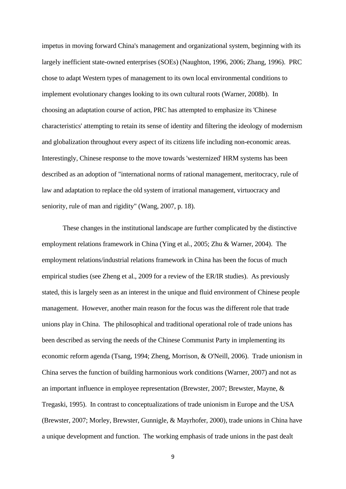impetus in moving forward China's management and organizational system, beginning with its largely inefficient state-owned enterprises (SOEs) (Naughton, 1996, 2006; Zhang, 1996). PRC chose to adapt Western types of management to its own local environmental conditions to implement evolutionary changes looking to its own cultural roots (Warner, 2008b). In choosing an adaptation course of action, PRC has attempted to emphasize its 'Chinese characteristics' attempting to retain its sense of identity and filtering the ideology of modernism and globalization throughout every aspect of its citizens life including non-economic areas. Interestingly, Chinese response to the move towards 'westernized' HRM systems has been described as an adoption of "international norms of rational management, meritocracy, rule of law and adaptation to replace the old system of irrational management, virtuocracy and seniority, rule of man and rigidity" (Wang, 2007, p. 18).

 These changes in the institutional landscape are further complicated by the distinctive employment relations framework in China (Ying et al., 2005; Zhu & Warner, 2004). The employment relations/industrial relations framework in China has been the focus of much empirical studies (see Zheng et al., 2009 for a review of the ER/IR studies). As previously stated, this is largely seen as an interest in the unique and fluid environment of Chinese people management. However, another main reason for the focus was the different role that trade unions play in China. The philosophical and traditional operational role of trade unions has been described as serving the needs of the Chinese Communist Party in implementing its economic reform agenda (Tsang, 1994; Zheng, Morrison, & O'Neill, 2006). Trade unionism in China serves the function of building harmonious work conditions (Warner, 2007) and not as an important influence in employee representation (Brewster, 2007; Brewster, Mayne, & Tregaski, 1995). In contrast to conceptualizations of trade unionism in Europe and the USA (Brewster, 2007; Morley, Brewster, Gunnigle, & Mayrhofer, 2000), trade unions in China have a unique development and function. The working emphasis of trade unions in the past dealt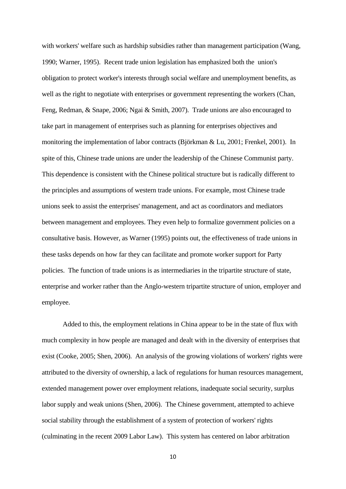with workers' welfare such as hardship subsidies rather than management participation (Wang, 1990; Warner, 1995). Recent trade union legislation has emphasized both the union's obligation to protect worker's interests through social welfare and unemployment benefits, as well as the right to negotiate with enterprises or government representing the workers (Chan, Feng, Redman, & Snape, 2006; Ngai & Smith, 2007). Trade unions are also encouraged to take part in management of enterprises such as planning for enterprises objectives and monitoring the implementation of labor contracts (Björkman & Lu, 2001; Frenkel, 2001). In spite of this, Chinese trade unions are under the leadership of the Chinese Communist party. This dependence is consistent with the Chinese political structure but is radically different to the principles and assumptions of western trade unions. For example, most Chinese trade unions seek to assist the enterprises' management, and act as coordinators and mediators between management and employees. They even help to formalize government policies on a consultative basis. However, as Warner (1995) points out, the effectiveness of trade unions in these tasks depends on how far they can facilitate and promote worker support for Party policies. The function of trade unions is as intermediaries in the tripartite structure of state, enterprise and worker rather than the Anglo-western tripartite structure of union, employer and employee.

 Added to this, the employment relations in China appear to be in the state of flux with much complexity in how people are managed and dealt with in the diversity of enterprises that exist (Cooke, 2005; Shen, 2006). An analysis of the growing violations of workers' rights were attributed to the diversity of ownership, a lack of regulations for human resources management, extended management power over employment relations, inadequate social security, surplus labor supply and weak unions (Shen, 2006). The Chinese government, attempted to achieve social stability through the establishment of a system of protection of workers' rights (culminating in the recent 2009 Labor Law). This system has centered on labor arbitration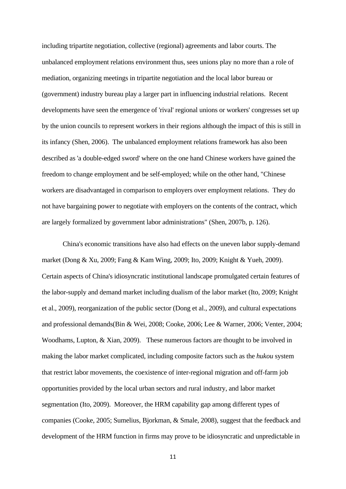including tripartite negotiation, collective (regional) agreements and labor courts. The unbalanced employment relations environment thus, sees unions play no more than a role of mediation, organizing meetings in tripartite negotiation and the local labor bureau or (government) industry bureau play a larger part in influencing industrial relations. Recent developments have seen the emergence of 'rival' regional unions or workers' congresses set up by the union councils to represent workers in their regions although the impact of this is still in its infancy (Shen, 2006). The unbalanced employment relations framework has also been described as 'a double-edged sword' where on the one hand Chinese workers have gained the freedom to change employment and be self-employed; while on the other hand, "Chinese workers are disadvantaged in comparison to employers over employment relations. They do not have bargaining power to negotiate with employers on the contents of the contract, which are largely formalized by government labor administrations" (Shen, 2007b, p. 126).

 China's economic transitions have also had effects on the uneven labor supply-demand market (Dong & Xu, 2009; Fang & Kam Wing, 2009; Ito, 2009; Knight & Yueh, 2009). Certain aspects of China's idiosyncratic institutional landscape promulgated certain features of the labor-supply and demand market including dualism of the labor market (Ito, 2009; Knight et al., 2009), reorganization of the public sector (Dong et al., 2009), and cultural expectations and professional demands(Bin & Wei, 2008; Cooke, 2006; Lee & Warner, 2006; Venter, 2004; Woodhams, Lupton, & Xian, 2009). These numerous factors are thought to be involved in making the labor market complicated, including composite factors such as the *hukou* system that restrict labor movements, the coexistence of inter-regional migration and off-farm job opportunities provided by the local urban sectors and rural industry, and labor market segmentation (Ito, 2009). Moreover, the HRM capability gap among different types of companies (Cooke, 2005; Sumelius, Bjorkman, & Smale, 2008), suggest that the feedback and development of the HRM function in firms may prove to be idiosyncratic and unpredictable in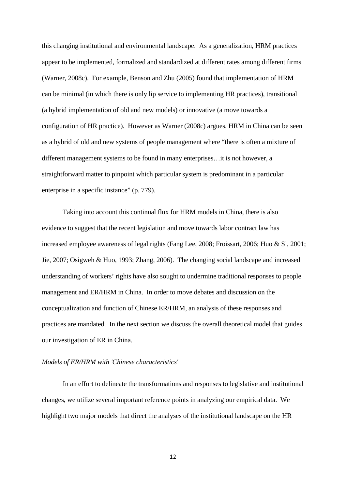this changing institutional and environmental landscape. As a generalization, HRM practices appear to be implemented, formalized and standardized at different rates among different firms (Warner, 2008c). For example, Benson and Zhu (2005) found that implementation of HRM can be minimal (in which there is only lip service to implementing HR practices), transitional (a hybrid implementation of old and new models) or innovative (a move towards a configuration of HR practice). However as Warner (2008c) argues, HRM in China can be seen as a hybrid of old and new systems of people management where "there is often a mixture of different management systems to be found in many enterprises…it is not however, a straightforward matter to pinpoint which particular system is predominant in a particular enterprise in a specific instance" (p. 779).

 Taking into account this continual flux for HRM models in China, there is also evidence to suggest that the recent legislation and move towards labor contract law has increased employee awareness of legal rights (Fang Lee, 2008; Froissart, 2006; Huo & Si, 2001; Jie, 2007; Osigweh & Huo, 1993; Zhang, 2006). The changing social landscape and increased understanding of workers' rights have also sought to undermine traditional responses to people management and ER/HRM in China. In order to move debates and discussion on the conceptualization and function of Chinese ER/HRM, an analysis of these responses and practices are mandated. In the next section we discuss the overall theoretical model that guides our investigation of ER in China.

## *Models of ER/HRM with 'Chinese characteristics'*

 In an effort to delineate the transformations and responses to legislative and institutional changes, we utilize several important reference points in analyzing our empirical data. We highlight two major models that direct the analyses of the institutional landscape on the HR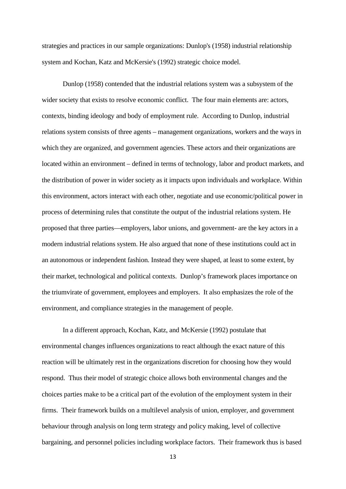strategies and practices in our sample organizations: Dunlop's (1958) industrial relationship system and Kochan, Katz and McKersie's (1992) strategic choice model.

 Dunlop (1958) contended that the industrial relations system was a subsystem of the wider society that exists to resolve economic conflict. The four main elements are: actors, contexts, binding ideology and body of employment rule. According to Dunlop, industrial relations system consists of three agents – management organizations, workers and the ways in which they are organized, and government agencies. These actors and their organizations are located within an environment – defined in terms of technology, labor and product markets, and the distribution of power in wider society as it impacts upon individuals and workplace. Within this environment, actors interact with each other, negotiate and use economic/political power in process of determining rules that constitute the output of the industrial relations system. He proposed that three parties—employers, labor unions, and government- are the key actors in a modern industrial relations system. He also argued that none of these institutions could act in an autonomous or independent fashion. Instead they were shaped, at least to some extent, by their market, technological and political contexts. Dunlop's framework places importance on the triumvirate of government, employees and employers. It also emphasizes the role of the environment, and compliance strategies in the management of people.

 In a different approach, Kochan, Katz, and McKersie (1992) postulate that environmental changes influences organizations to react although the exact nature of this reaction will be ultimately rest in the organizations discretion for choosing how they would respond. Thus their model of strategic choice allows both environmental changes and the choices parties make to be a critical part of the evolution of the employment system in their firms. Their framework builds on a multilevel analysis of union, employer, and government behaviour through analysis on long term strategy and policy making, level of collective bargaining, and personnel policies including workplace factors. Their framework thus is based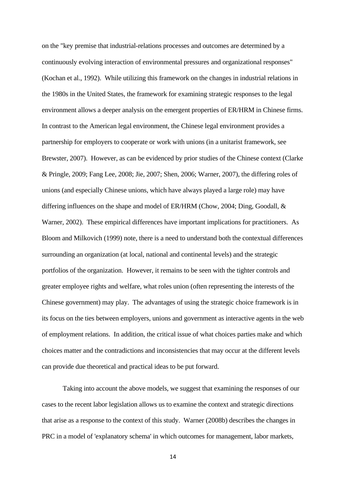on the "key premise that industrial-relations processes and outcomes are determined by a continuously evolving interaction of environmental pressures and organizational responses" (Kochan et al., 1992). While utilizing this framework on the changes in industrial relations in the 1980s in the United States, the framework for examining strategic responses to the legal environment allows a deeper analysis on the emergent properties of ER/HRM in Chinese firms. In contrast to the American legal environment, the Chinese legal environment provides a partnership for employers to cooperate or work with unions (in a unitarist framework, see Brewster, 2007). However, as can be evidenced by prior studies of the Chinese context (Clarke & Pringle, 2009; Fang Lee, 2008; Jie, 2007; Shen, 2006; Warner, 2007), the differing roles of unions (and especially Chinese unions, which have always played a large role) may have differing influences on the shape and model of ER/HRM (Chow, 2004; Ding, Goodall, & Warner, 2002). These empirical differences have important implications for practitioners. As Bloom and Milkovich (1999) note, there is a need to understand both the contextual differences surrounding an organization (at local, national and continental levels) and the strategic portfolios of the organization. However, it remains to be seen with the tighter controls and greater employee rights and welfare, what roles union (often representing the interests of the Chinese government) may play. The advantages of using the strategic choice framework is in its focus on the ties between employers, unions and government as interactive agents in the web of employment relations. In addition, the critical issue of what choices parties make and which choices matter and the contradictions and inconsistencies that may occur at the different levels can provide due theoretical and practical ideas to be put forward.

 Taking into account the above models, we suggest that examining the responses of our cases to the recent labor legislation allows us to examine the context and strategic directions that arise as a response to the context of this study. Warner (2008b) describes the changes in PRC in a model of 'explanatory schema' in which outcomes for management, labor markets,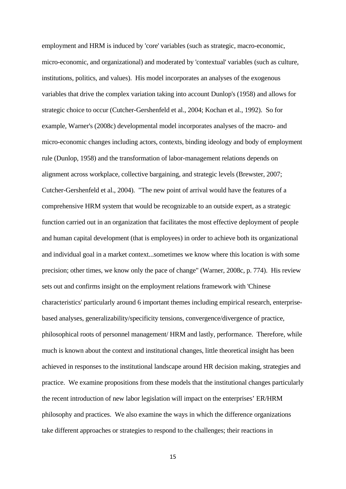employment and HRM is induced by 'core' variables (such as strategic, macro-economic, micro-economic, and organizational) and moderated by 'contextual' variables (such as culture, institutions, politics, and values). His model incorporates an analyses of the exogenous variables that drive the complex variation taking into account Dunlop's (1958) and allows for strategic choice to occur (Cutcher-Gershenfeld et al., 2004; Kochan et al., 1992). So for example, Warner's (2008c) developmental model incorporates analyses of the macro- and micro-economic changes including actors, contexts, binding ideology and body of employment rule (Dunlop, 1958) and the transformation of labor-management relations depends on alignment across workplace, collective bargaining, and strategic levels (Brewster, 2007; Cutcher-Gershenfeld et al., 2004). "The new point of arrival would have the features of a comprehensive HRM system that would be recognizable to an outside expert, as a strategic function carried out in an organization that facilitates the most effective deployment of people and human capital development (that is employees) in order to achieve both its organizational and individual goal in a market context...sometimes we know where this location is with some precision; other times, we know only the pace of change" (Warner, 2008c, p. 774). His review sets out and confirms insight on the employment relations framework with 'Chinese characteristics' particularly around 6 important themes including empirical research, enterprisebased analyses, generalizability/specificity tensions, convergence/divergence of practice, philosophical roots of personnel management/ HRM and lastly, performance. Therefore, while much is known about the context and institutional changes, little theoretical insight has been achieved in responses to the institutional landscape around HR decision making, strategies and practice. We examine propositions from these models that the institutional changes particularly the recent introduction of new labor legislation will impact on the enterprises' ER/HRM philosophy and practices. We also examine the ways in which the difference organizations take different approaches or strategies to respond to the challenges; their reactions in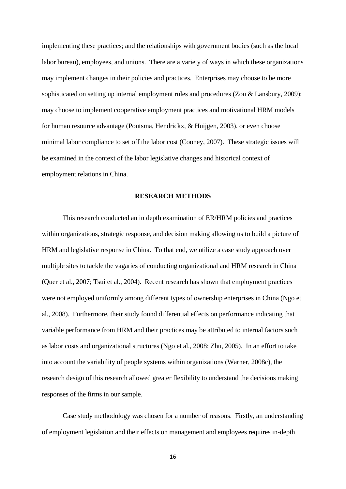implementing these practices; and the relationships with government bodies (such as the local labor bureau), employees, and unions. There are a variety of ways in which these organizations may implement changes in their policies and practices. Enterprises may choose to be more sophisticated on setting up internal employment rules and procedures (Zou & Lansbury, 2009); may choose to implement cooperative employment practices and motivational HRM models for human resource advantage (Poutsma, Hendrickx, & Huijgen, 2003), or even choose minimal labor compliance to set off the labor cost (Cooney, 2007). These strategic issues will be examined in the context of the labor legislative changes and historical context of employment relations in China.

### **RESEARCH METHODS**

 This research conducted an in depth examination of ER/HRM policies and practices within organizations, strategic response, and decision making allowing us to build a picture of HRM and legislative response in China. To that end, we utilize a case study approach over multiple sites to tackle the vagaries of conducting organizational and HRM research in China (Quer et al., 2007; Tsui et al., 2004). Recent research has shown that employment practices were not employed uniformly among different types of ownership enterprises in China (Ngo et al., 2008). Furthermore, their study found differential effects on performance indicating that variable performance from HRM and their practices may be attributed to internal factors such as labor costs and organizational structures (Ngo et al., 2008; Zhu, 2005). In an effort to take into account the variability of people systems within organizations (Warner, 2008c), the research design of this research allowed greater flexibility to understand the decisions making responses of the firms in our sample.

 Case study methodology was chosen for a number of reasons. Firstly, an understanding of employment legislation and their effects on management and employees requires in-depth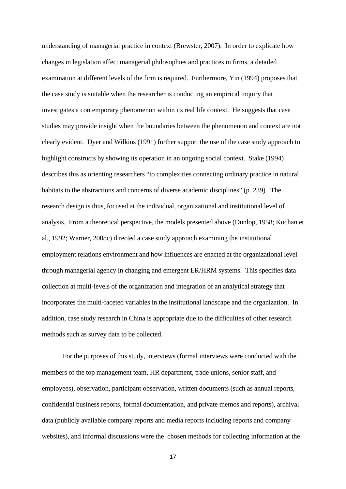understanding of managerial practice in context (Brewster, 2007). In order to explicate how changes in legislation affect managerial philosophies and practices in firms, a detailed examination at different levels of the firm is required. Furthermore, Yin (1994) proposes that the case study is suitable when the researcher is conducting an empirical inquiry that investigates a contemporary phenomenon within its real life context. He suggests that case studies may provide insight when the boundaries between the phenomenon and context are not clearly evident. Dyer and Wilkins (1991) further support the use of the case study approach to highlight constructs by showing its operation in an ongoing social context. Stake (1994) describes this as orienting researchers "to complexities connecting ordinary practice in natural habitats to the abstractions and concerns of diverse academic disciplines" (p. 239). The research design is thus, focused at the individual, organizational and institutional level of analysis. From a theoretical perspective, the models presented above (Dunlop, 1958; Kochan et al., 1992; Warner, 2008c) directed a case study approach examining the institutional employment relations environment and how influences are enacted at the organizational level through managerial agency in changing and emergent ER/HRM systems. This specifies data collection at multi-levels of the organization and integration of an analytical strategy that incorporates the multi-faceted variables in the institutional landscape and the organization. In addition, case study research in China is appropriate due to the difficulties of other research methods such as survey data to be collected.

 For the purposes of this study, interviews (formal interviews were conducted with the members of the top management team, HR department, trade unions, senior staff, and employees), observation, participant observation, written documents (such as annual reports, confidential business reports, formal documentation, and private memos and reports), archival data (publicly available company reports and media reports including reports and company websites), and informal discussions were the chosen methods for collecting information at the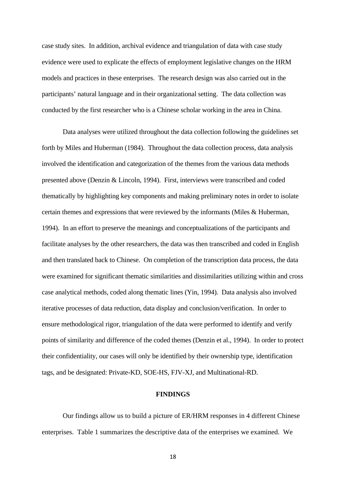case study sites. In addition, archival evidence and triangulation of data with case study evidence were used to explicate the effects of employment legislative changes on the HRM models and practices in these enterprises. The research design was also carried out in the participants' natural language and in their organizational setting. The data collection was conducted by the first researcher who is a Chinese scholar working in the area in China.

 Data analyses were utilized throughout the data collection following the guidelines set forth by Miles and Huberman (1984). Throughout the data collection process, data analysis involved the identification and categorization of the themes from the various data methods presented above (Denzin & Lincoln, 1994). First, interviews were transcribed and coded thematically by highlighting key components and making preliminary notes in order to isolate certain themes and expressions that were reviewed by the informants (Miles & Huberman, 1994). In an effort to preserve the meanings and conceptualizations of the participants and facilitate analyses by the other researchers, the data was then transcribed and coded in English and then translated back to Chinese. On completion of the transcription data process, the data were examined for significant thematic similarities and dissimilarities utilizing within and cross case analytical methods, coded along thematic lines (Yin, 1994). Data analysis also involved iterative processes of data reduction, data display and conclusion/verification. In order to ensure methodological rigor, triangulation of the data were performed to identify and verify points of similarity and difference of the coded themes (Denzin et al., 1994). In order to protect their confidentiality, our cases will only be identified by their ownership type, identification tags, and be designated: Private-KD, SOE-HS, FJV-XJ, and Multinational-RD.

#### **FINDINGS**

 Our findings allow us to build a picture of ER/HRM responses in 4 different Chinese enterprises. Table 1 summarizes the descriptive data of the enterprises we examined. We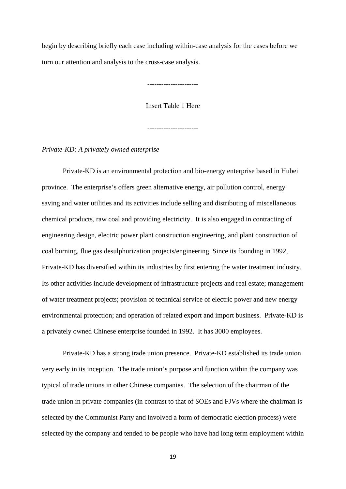begin by describing briefly each case including within-case analysis for the cases before we turn our attention and analysis to the cross-case analysis.

Insert Table 1 Here

----------------------

----------------------

*Private-KD: A privately owned enterprise* 

Private-KD is an environmental protection and bio-energy enterprise based in Hubei province. The enterprise's offers green alternative energy, air pollution control, energy saving and water utilities and its activities include selling and distributing of miscellaneous chemical products, raw coal and providing electricity. It is also engaged in contracting of engineering design, electric power plant construction engineering, and plant construction of coal burning, flue gas desulphurization projects/engineering. Since its founding in 1992, Private-KD has diversified within its industries by first entering the water treatment industry. Its other activities include development of infrastructure projects and real estate; management of water treatment projects; provision of technical service of electric power and new energy environmental protection; and operation of related export and import business. Private-KD is a privately owned Chinese enterprise founded in 1992. It has 3000 employees.

Private-KD has a strong trade union presence. Private-KD established its trade union very early in its inception. The trade union's purpose and function within the company was typical of trade unions in other Chinese companies. The selection of the chairman of the trade union in private companies (in contrast to that of SOEs and FJVs where the chairman is selected by the Communist Party and involved a form of democratic election process) were selected by the company and tended to be people who have had long term employment within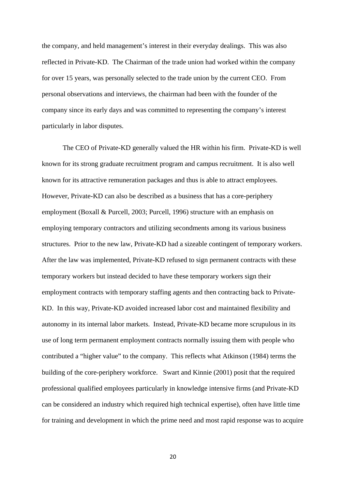the company, and held management's interest in their everyday dealings. This was also reflected in Private-KD. The Chairman of the trade union had worked within the company for over 15 years, was personally selected to the trade union by the current CEO. From personal observations and interviews, the chairman had been with the founder of the company since its early days and was committed to representing the company's interest particularly in labor disputes.

The CEO of Private-KD generally valued the HR within his firm. Private-KD is well known for its strong graduate recruitment program and campus recruitment. It is also well known for its attractive remuneration packages and thus is able to attract employees. However, Private-KD can also be described as a business that has a core-periphery employment (Boxall & Purcell, 2003; Purcell, 1996) structure with an emphasis on employing temporary contractors and utilizing secondments among its various business structures. Prior to the new law, Private-KD had a sizeable contingent of temporary workers. After the law was implemented, Private-KD refused to sign permanent contracts with these temporary workers but instead decided to have these temporary workers sign their employment contracts with temporary staffing agents and then contracting back to Private-KD. In this way, Private-KD avoided increased labor cost and maintained flexibility and autonomy in its internal labor markets. Instead, Private-KD became more scrupulous in its use of long term permanent employment contracts normally issuing them with people who contributed a "higher value" to the company. This reflects what Atkinson (1984) terms the building of the core-periphery workforce. Swart and Kinnie (2001) posit that the required professional qualified employees particularly in knowledge intensive firms (and Private-KD can be considered an industry which required high technical expertise), often have little time for training and development in which the prime need and most rapid response was to acquire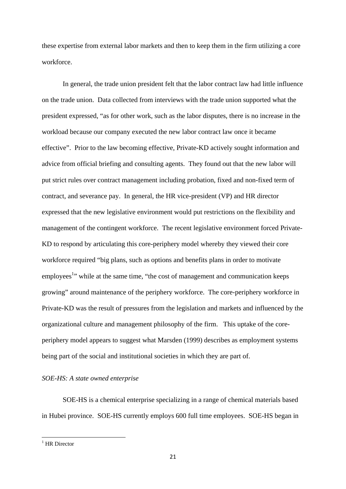these expertise from external labor markets and then to keep them in the firm utilizing a core workforce.

In general, the trade union president felt that the labor contract law had little influence on the trade union. Data collected from interviews with the trade union supported what the president expressed, "as for other work, such as the labor disputes, there is no increase in the workload because our company executed the new labor contract law once it became effective". Prior to the law becoming effective, Private-KD actively sought information and advice from official briefing and consulting agents. They found out that the new labor will put strict rules over contract management including probation, fixed and non-fixed term of contract, and severance pay. In general, the HR vice-president (VP) and HR director expressed that the new legislative environment would put restrictions on the flexibility and management of the contingent workforce. The recent legislative environment forced Private-KD to respond by articulating this core-periphery model whereby they viewed their core workforce required "big plans, such as options and benefits plans in order to motivate employees<sup>1</sup> while at the same time, "the cost of management and communication keeps growing" around maintenance of the periphery workforce. The core-periphery workforce in Private-KD was the result of pressures from the legislation and markets and influenced by the organizational culture and management philosophy of the firm. This uptake of the coreperiphery model appears to suggest what Marsden (1999) describes as employment systems being part of the social and institutional societies in which they are part of.

*SOE-HS: A state owned enterprise* 

 SOE-HS is a chemical enterprise specializing in a range of chemical materials based in Hubei province. SOE-HS currently employs 600 full time employees. SOE-HS began in

<sup>1</sup> HR Director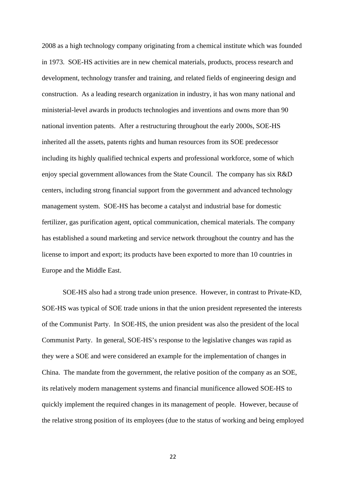2008 as a high technology company originating from a chemical institute which was founded in 1973. SOE-HS activities are in new chemical materials, products, process research and development, technology transfer and training, and related fields of engineering design and construction. As a leading research organization in industry, it has won many national and ministerial-level awards in products technologies and inventions and owns more than 90 national invention patents. After a restructuring throughout the early 2000s, SOE-HS inherited all the assets, patents rights and human resources from its SOE predecessor including its highly qualified technical experts and professional workforce, some of which enjoy special government allowances from the State Council. The company has six R&D centers, including strong financial support from the government and advanced technology management system. SOE-HS has become a catalyst and industrial base for domestic fertilizer, gas purification agent, optical communication, chemical materials. The company has established a sound marketing and service network throughout the country and has the license to import and export; its products have been exported to more than 10 countries in Europe and the Middle East.

 SOE-HS also had a strong trade union presence. However, in contrast to Private-KD, SOE-HS was typical of SOE trade unions in that the union president represented the interests of the Communist Party. In SOE-HS, the union president was also the president of the local Communist Party. In general, SOE-HS's response to the legislative changes was rapid as they were a SOE and were considered an example for the implementation of changes in China. The mandate from the government, the relative position of the company as an SOE, its relatively modern management systems and financial munificence allowed SOE-HS to quickly implement the required changes in its management of people. However, because of the relative strong position of its employees (due to the status of working and being employed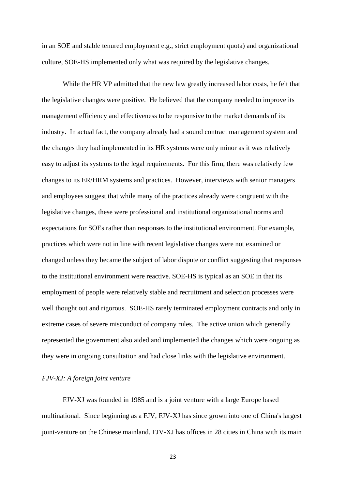in an SOE and stable tenured employment e.g., strict employment quota) and organizational culture, SOE-HS implemented only what was required by the legislative changes.

While the HR VP admitted that the new law greatly increased labor costs, he felt that the legislative changes were positive. He believed that the company needed to improve its management efficiency and effectiveness to be responsive to the market demands of its industry. In actual fact, the company already had a sound contract management system and the changes they had implemented in its HR systems were only minor as it was relatively easy to adjust its systems to the legal requirements. For this firm, there was relatively few changes to its ER/HRM systems and practices. However, interviews with senior managers and employees suggest that while many of the practices already were congruent with the legislative changes, these were professional and institutional organizational norms and expectations for SOEs rather than responses to the institutional environment. For example, practices which were not in line with recent legislative changes were not examined or changed unless they became the subject of labor dispute or conflict suggesting that responses to the institutional environment were reactive. SOE-HS is typical as an SOE in that its employment of people were relatively stable and recruitment and selection processes were well thought out and rigorous. SOE-HS rarely terminated employment contracts and only in extreme cases of severe misconduct of company rules. The active union which generally represented the government also aided and implemented the changes which were ongoing as they were in ongoing consultation and had close links with the legislative environment.

## *FJV-XJ: A foreign joint venture*

 FJV-XJ was founded in 1985 and is a joint venture with a large Europe based multinational. Since beginning as a FJV, FJV-XJ has since grown into one of China's largest joint-venture on the Chinese mainland. FJV-XJ has offices in 28 cities in China with its main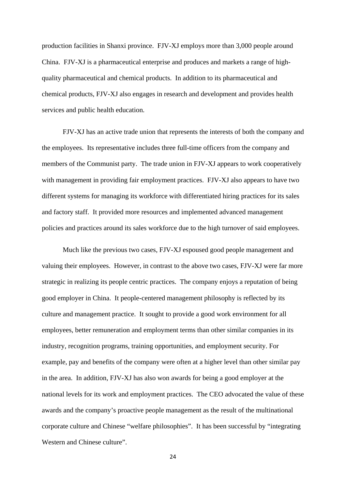production facilities in Shanxi province. FJV-XJ employs more than 3,000 people around China. FJV-XJ is a pharmaceutical enterprise and produces and markets a range of highquality pharmaceutical and chemical products. In addition to its pharmaceutical and chemical products, FJV-XJ also engages in research and development and provides health services and public health education.

 FJV-XJ has an active trade union that represents the interests of both the company and the employees. Its representative includes three full-time officers from the company and members of the Communist party. The trade union in FJV-XJ appears to work cooperatively with management in providing fair employment practices. FJV-XJ also appears to have two different systems for managing its workforce with differentiated hiring practices for its sales and factory staff. It provided more resources and implemented advanced management policies and practices around its sales workforce due to the high turnover of said employees.

 Much like the previous two cases, FJV-XJ espoused good people management and valuing their employees. However, in contrast to the above two cases, FJV-XJ were far more strategic in realizing its people centric practices. The company enjoys a reputation of being good employer in China. It people-centered management philosophy is reflected by its culture and management practice. It sought to provide a good work environment for all employees, better remuneration and employment terms than other similar companies in its industry, recognition programs, training opportunities, and employment security. For example, pay and benefits of the company were often at a higher level than other similar pay in the area. In addition, FJV-XJ has also won awards for being a good employer at the national levels for its work and employment practices. The CEO advocated the value of these awards and the company's proactive people management as the result of the multinational corporate culture and Chinese "welfare philosophies". It has been successful by "integrating Western and Chinese culture".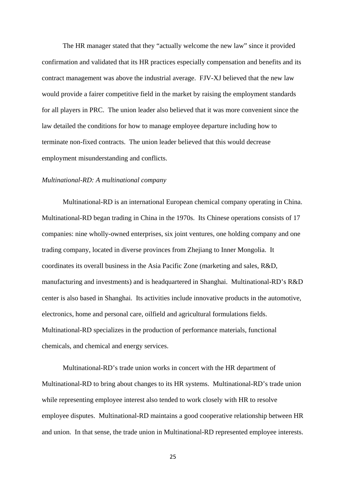The HR manager stated that they "actually welcome the new law" since it provided confirmation and validated that its HR practices especially compensation and benefits and its contract management was above the industrial average. FJV-XJ believed that the new law would provide a fairer competitive field in the market by raising the employment standards for all players in PRC. The union leader also believed that it was more convenient since the law detailed the conditions for how to manage employee departure including how to terminate non-fixed contracts. The union leader believed that this would decrease employment misunderstanding and conflicts.

#### *Multinational-RD: A multinational company*

 Multinational-RD is an international European chemical company operating in China. Multinational-RD began trading in China in the 1970s. Its Chinese operations consists of 17 companies: nine wholly-owned enterprises, six joint ventures, one holding company and one trading company, located in diverse provinces from Zhejiang to Inner Mongolia. It coordinates its overall business in the Asia Pacific Zone (marketing and sales, R&D, manufacturing and investments) and is headquartered in Shanghai. Multinational-RD's R&D center is also based in Shanghai. Its activities include innovative products in the automotive, electronics, home and personal care, oilfield and agricultural formulations fields. Multinational-RD specializes in the production of performance materials, functional chemicals, and chemical and energy services.

 Multinational-RD's trade union works in concert with the HR department of Multinational-RD to bring about changes to its HR systems. Multinational-RD's trade union while representing employee interest also tended to work closely with HR to resolve employee disputes. Multinational-RD maintains a good cooperative relationship between HR and union. In that sense, the trade union in Multinational-RD represented employee interests.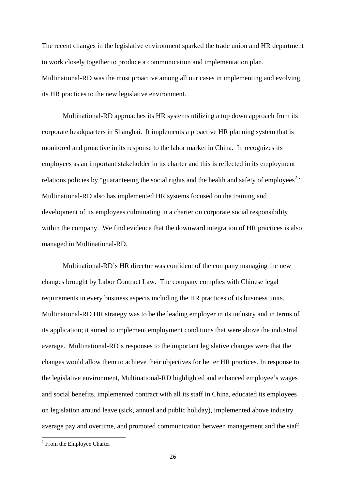The recent changes in the legislative environment sparked the trade union and HR department to work closely together to produce a communication and implementation plan. Multinational-RD was the most proactive among all our cases in implementing and evolving its HR practices to the new legislative environment.

 Multinational-RD approaches its HR systems utilizing a top down approach from its corporate headquarters in Shanghai. It implements a proactive HR planning system that is monitored and proactive in its response to the labor market in China. In recognizes its employees as an important stakeholder in its charter and this is reflected in its employment relations policies by "guaranteeing the social rights and the health and safety of employees<sup>2</sup>". Multinational-RD also has implemented HR systems focused on the training and development of its employees culminating in a charter on corporate social responsibility within the company. We find evidence that the downward integration of HR practices is also managed in Multinational-RD.

 Multinational-RD's HR director was confident of the company managing the new changes brought by Labor Contract Law. The company complies with Chinese legal requirements in every business aspects including the HR practices of its business units. Multinational-RD HR strategy was to be the leading employer in its industry and in terms of its application; it aimed to implement employment conditions that were above the industrial average. Multinational-RD's responses to the important legislative changes were that the changes would allow them to achieve their objectives for better HR practices. In response to the legislative environment, Multinational-RD highlighted and enhanced employee's wages and social benefits, implemented contract with all its staff in China, educated its employees on legislation around leave (sick, annual and public holiday), implemented above industry average pay and overtime, and promoted communication between management and the staff.

<sup>&</sup>lt;sup>2</sup> From the Employee Charter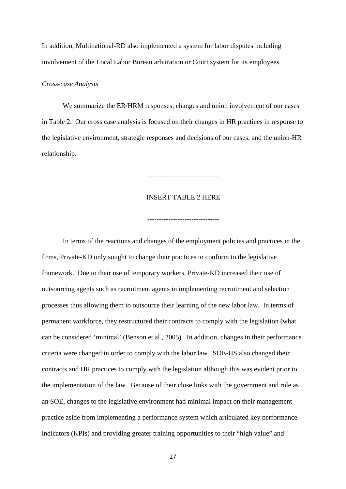In addition, Multinational-RD also implemented a system for labor disputes including involvement of the Local Labor Bureau arbitration or Court system for its employees.

## *Cross-case Analysis*

We summarize the ER/HRM responses, changes and union involvement of our cases in Table 2. Our cross case analysis is focused on their changes in HR practices in response to the legislative environment, strategic responses and decisions of our cases, and the union-HR relationship.

## INSERT TABLE 2 HERE

-------------------------------

-------------------------------

In terms of the reactions and changes of the employment policies and practices in the firms, Private-KD only sought to change their practices to conform to the legislative framework. Due to their use of temporary workers, Private-KD increased their use of outsourcing agents such as recruitment agents in implementing recruitment and selection processes thus allowing them to outsource their learning of the new labor law. In terms of permanent workforce, they restructured their contracts to comply with the legislation (what can be considered 'minimal' (Benson et al., 2005). In addition, changes in their performance criteria were changed in order to comply with the labor law. SOE-HS also changed their contracts and HR practices to comply with the legislation although this was evident prior to the implementation of the law. Because of their close links with the government and role as an SOE, changes to the legislative environment had minimal impact on their management practice aside from implementing a performance system which articulated key performance indicators (KPIs) and providing greater training opportunities to their "high value" and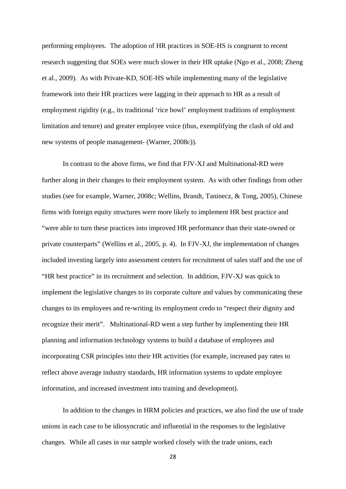performing employees. The adoption of HR practices in SOE-HS is congruent to recent research suggesting that SOEs were much slower in their HR uptake (Ngo et al., 2008; Zheng et al., 2009). As with Private-KD, SOE-HS while implementing many of the legislative framework into their HR practices were lagging in their approach to HR as a result of employment rigidity (e.g., its traditional 'rice bowl' employment traditions of employment limitation and tenure) and greater employee voice (thus, exemplifying the clash of old and new systems of people management- (Warner, 2008c)).

In contrast to the above firms, we find that FJV-XJ and Multinational-RD were further along in their changes to their employment system. As with other findings from other studies (see for example, Warner, 2008c; Wellins, Brandt, Taninecz, & Tong, 2005), Chinese firms with foreign equity structures were more likely to implement HR best practice and "were able to turn these practices into improved HR performance than their state-owned or private counterparts" (Wellins et al., 2005, p. 4). In FJV-XJ, the implementation of changes included investing largely into assessment centers for recruitment of sales staff and the use of "HR best practice" in its recruitment and selection. In addition, FJV-XJ was quick to implement the legislative changes to its corporate culture and values by communicating these changes to its employees and re-writing its employment credo to "respect their dignity and recognize their merit". Multinational-RD went a step further by implementing their HR planning and information technology systems to build a database of employees and incorporating CSR principles into their HR activities (for example, increased pay rates to reflect above average industry standards, HR information systems to update employee information, and increased investment into training and development).

In addition to the changes in HRM policies and practices, we also find the use of trade unions in each case to be idiosyncratic and influential in the responses to the legislative changes. While all cases in our sample worked closely with the trade unions, each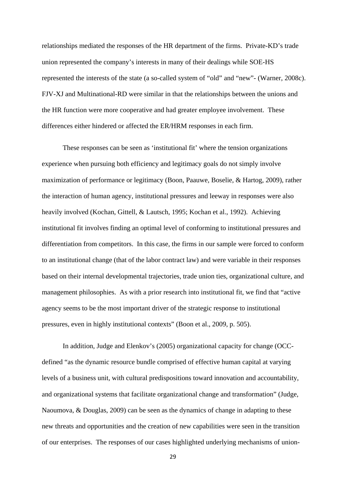relationships mediated the responses of the HR department of the firms. Private-KD's trade union represented the company's interests in many of their dealings while SOE-HS represented the interests of the state (a so-called system of "old" and "new"- (Warner, 2008c). FJV-XJ and Multinational-RD were similar in that the relationships between the unions and the HR function were more cooperative and had greater employee involvement. These differences either hindered or affected the ER/HRM responses in each firm.

These responses can be seen as 'institutional fit' where the tension organizations experience when pursuing both efficiency and legitimacy goals do not simply involve maximization of performance or legitimacy (Boon, Paauwe, Boselie, & Hartog, 2009), rather the interaction of human agency, institutional pressures and leeway in responses were also heavily involved (Kochan, Gittell, & Lautsch, 1995; Kochan et al., 1992). Achieving institutional fit involves finding an optimal level of conforming to institutional pressures and differentiation from competitors. In this case, the firms in our sample were forced to conform to an institutional change (that of the labor contract law) and were variable in their responses based on their internal developmental trajectories, trade union ties, organizational culture, and management philosophies. As with a prior research into institutional fit, we find that "active agency seems to be the most important driver of the strategic response to institutional pressures, even in highly institutional contexts" (Boon et al., 2009, p. 505).

In addition, Judge and Elenkov's (2005) organizational capacity for change (OCCdefined "as the dynamic resource bundle comprised of effective human capital at varying levels of a business unit, with cultural predispositions toward innovation and accountability, and organizational systems that facilitate organizational change and transformation" (Judge, Naoumova, & Douglas, 2009) can be seen as the dynamics of change in adapting to these new threats and opportunities and the creation of new capabilities were seen in the transition of our enterprises. The responses of our cases highlighted underlying mechanisms of union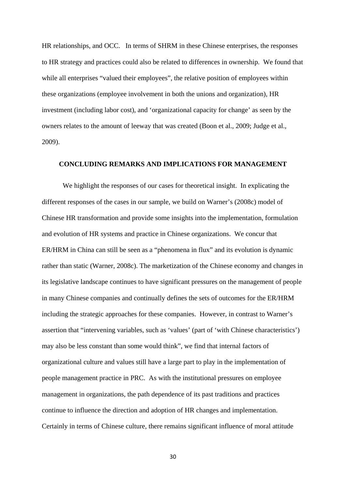HR relationships, and OCC. In terms of SHRM in these Chinese enterprises, the responses to HR strategy and practices could also be related to differences in ownership. We found that while all enterprises "valued their employees", the relative position of employees within these organizations (employee involvement in both the unions and organization), HR investment (including labor cost), and 'organizational capacity for change' as seen by the owners relates to the amount of leeway that was created (Boon et al., 2009; Judge et al., 2009).

## **CONCLUDING REMARKS AND IMPLICATIONS FOR MANAGEMENT**

 We highlight the responses of our cases for theoretical insight. In explicating the different responses of the cases in our sample, we build on Warner's (2008c) model of Chinese HR transformation and provide some insights into the implementation, formulation and evolution of HR systems and practice in Chinese organizations. We concur that ER/HRM in China can still be seen as a "phenomena in flux" and its evolution is dynamic rather than static (Warner, 2008c). The marketization of the Chinese economy and changes in its legislative landscape continues to have significant pressures on the management of people in many Chinese companies and continually defines the sets of outcomes for the ER/HRM including the strategic approaches for these companies. However, in contrast to Warner's assertion that "intervening variables, such as 'values' (part of 'with Chinese characteristics') may also be less constant than some would think", we find that internal factors of organizational culture and values still have a large part to play in the implementation of people management practice in PRC. As with the institutional pressures on employee management in organizations, the path dependence of its past traditions and practices continue to influence the direction and adoption of HR changes and implementation. Certainly in terms of Chinese culture, there remains significant influence of moral attitude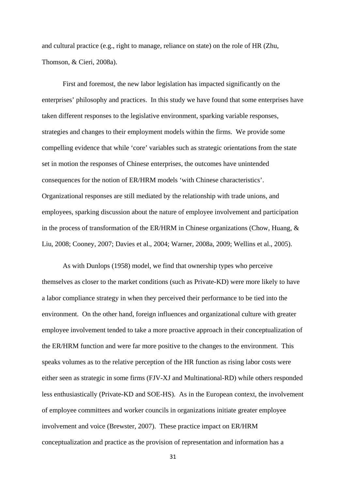and cultural practice (e.g., right to manage, reliance on state) on the role of HR (Zhu, Thomson, & Cieri, 2008a).

First and foremost, the new labor legislation has impacted significantly on the enterprises' philosophy and practices. In this study we have found that some enterprises have taken different responses to the legislative environment, sparking variable responses, strategies and changes to their employment models within the firms. We provide some compelling evidence that while 'core' variables such as strategic orientations from the state set in motion the responses of Chinese enterprises, the outcomes have unintended consequences for the notion of ER/HRM models 'with Chinese characteristics'. Organizational responses are still mediated by the relationship with trade unions, and employees, sparking discussion about the nature of employee involvement and participation in the process of transformation of the ER/HRM in Chinese organizations (Chow, Huang, & Liu, 2008; Cooney, 2007; Davies et al., 2004; Warner, 2008a, 2009; Wellins et al., 2005).

As with Dunlops (1958) model, we find that ownership types who perceive themselves as closer to the market conditions (such as Private-KD) were more likely to have a labor compliance strategy in when they perceived their performance to be tied into the environment. On the other hand, foreign influences and organizational culture with greater employee involvement tended to take a more proactive approach in their conceptualization of the ER/HRM function and were far more positive to the changes to the environment. This speaks volumes as to the relative perception of the HR function as rising labor costs were either seen as strategic in some firms (FJV-XJ and Multinational-RD) while others responded less enthusiastically (Private-KD and SOE-HS). As in the European context, the involvement of employee committees and worker councils in organizations initiate greater employee involvement and voice (Brewster, 2007). These practice impact on ER/HRM conceptualization and practice as the provision of representation and information has a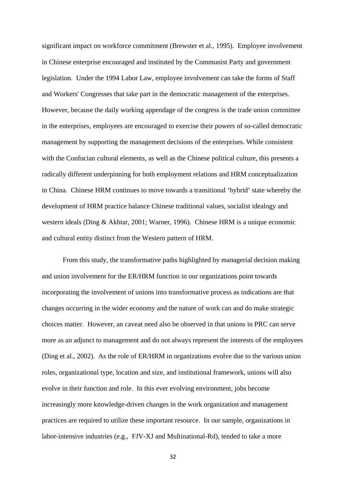significant impact on workforce commitment (Brewster et al., 1995). Employee involvement in Chinese enterprise encouraged and instituted by the Communist Party and government legislation. Under the 1994 Labor Law, employee involvement can take the forms of Staff and Workers' Congresses that take part in the democratic management of the enterprises. However, because the daily working appendage of the congress is the trade union committee in the enterprises, employees are encouraged to exercise their powers of so-called democratic management by supporting the management decisions of the enterprises. While consistent with the Confucian cultural elements, as well as the Chinese political culture, this presents a radically different underpinning for both employment relations and HRM conceptualization in China. Chinese HRM continues to move towards a transitional 'hybrid' state whereby the development of HRM practice balance Chinese traditional values, socialist idealogy and western ideals (Ding & Akhtar, 2001; Warner, 1996). Chinese HRM is a unique economic and cultural entity distinct from the Western pattern of HRM.

From this study, the transformative paths highlighted by managerial decision making and union involvement for the ER/HRM function in our organizations point towards incorporating the involvement of unions into transformative process as indications are that changes occurring in the wider economy and the nature of work can and do make strategic choices matter. However, an caveat need also be observed in that unions in PRC can serve more as an adjunct to management and do not always represent the interests of the employees (Ding et al., 2002). As the role of ER/HRM in organizations evolve due to the various union roles, organizational type, location and size, and institutional framework, unions will also evolve in their function and role. In this ever evolving environment, jobs become increasingly more knowledge-driven changes in the work organization and management practices are required to utilize these important resource. In our sample, organizations in labor-intensive industries (e.g., FJV-XJ and Multinational-Rd), tended to take a more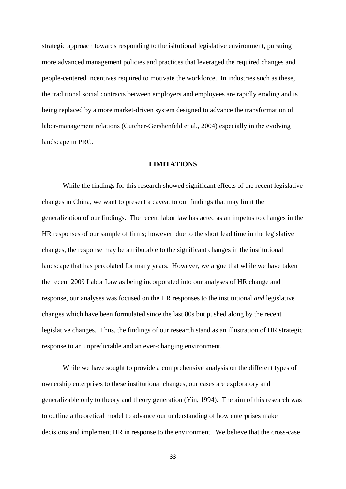strategic approach towards responding to the isitutional legislative environment, pursuing more advanced management policies and practices that leveraged the required changes and people-centered incentives required to motivate the workforce. In industries such as these, the traditional social contracts between employers and employees are rapidly eroding and is being replaced by a more market-driven system designed to advance the transformation of labor-management relations (Cutcher-Gershenfeld et al., 2004) especially in the evolving landscape in PRC.

## **LIMITATIONS**

While the findings for this research showed significant effects of the recent legislative changes in China, we want to present a caveat to our findings that may limit the generalization of our findings. The recent labor law has acted as an impetus to changes in the HR responses of our sample of firms; however, due to the short lead time in the legislative changes, the response may be attributable to the significant changes in the institutional landscape that has percolated for many years. However, we argue that while we have taken the recent 2009 Labor Law as being incorporated into our analyses of HR change and response, our analyses was focused on the HR responses to the institutional *and* legislative changes which have been formulated since the last 80s but pushed along by the recent legislative changes. Thus, the findings of our research stand as an illustration of HR strategic response to an unpredictable and an ever-changing environment.

While we have sought to provide a comprehensive analysis on the different types of ownership enterprises to these institutional changes, our cases are exploratory and generalizable only to theory and theory generation (Yin, 1994). The aim of this research was to outline a theoretical model to advance our understanding of how enterprises make decisions and implement HR in response to the environment. We believe that the cross-case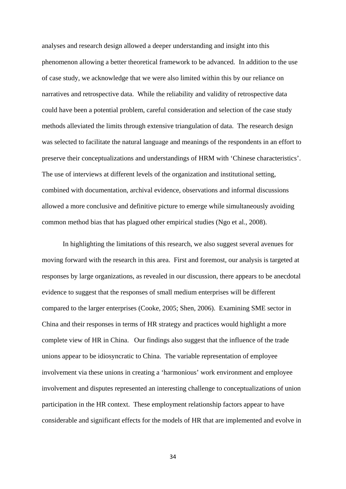analyses and research design allowed a deeper understanding and insight into this phenomenon allowing a better theoretical framework to be advanced. In addition to the use of case study, we acknowledge that we were also limited within this by our reliance on narratives and retrospective data. While the reliability and validity of retrospective data could have been a potential problem, careful consideration and selection of the case study methods alleviated the limits through extensive triangulation of data. The research design was selected to facilitate the natural language and meanings of the respondents in an effort to preserve their conceptualizations and understandings of HRM with 'Chinese characteristics'. The use of interviews at different levels of the organization and institutional setting, combined with documentation, archival evidence, observations and informal discussions allowed a more conclusive and definitive picture to emerge while simultaneously avoiding common method bias that has plagued other empirical studies (Ngo et al., 2008).

 In highlighting the limitations of this research, we also suggest several avenues for moving forward with the research in this area. First and foremost, our analysis is targeted at responses by large organizations, as revealed in our discussion, there appears to be anecdotal evidence to suggest that the responses of small medium enterprises will be different compared to the larger enterprises (Cooke, 2005; Shen, 2006). Examining SME sector in China and their responses in terms of HR strategy and practices would highlight a more complete view of HR in China. Our findings also suggest that the influence of the trade unions appear to be idiosyncratic to China. The variable representation of employee involvement via these unions in creating a 'harmonious' work environment and employee involvement and disputes represented an interesting challenge to conceptualizations of union participation in the HR context. These employment relationship factors appear to have considerable and significant effects for the models of HR that are implemented and evolve in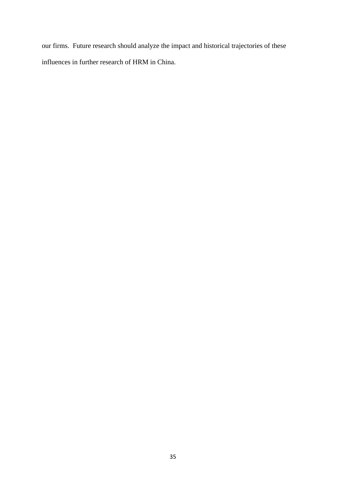our firms. Future research should analyze the impact and historical trajectories of these influences in further research of HRM in China.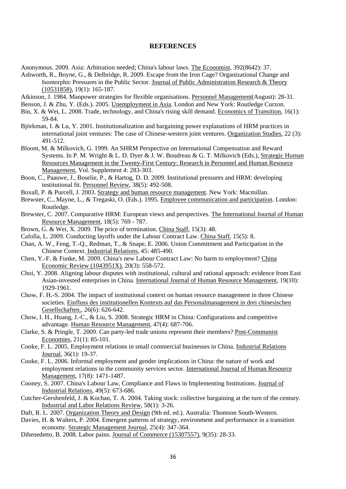## **REFERENCES**

Anonymous. 2009. Asia: Arbitration needed; China's labour laws. The Economist, 392(8642): 37.

Ashworth, R., Boyne, G., & Delbridge, R. 2009. Escape from the Iron Cage? Organizational Change and Isomorphic Pressures in the Public Sector. Journal of Public Administration Research & Theory (10531858), 19(1): 165-187.

Atkinson, J. 1984. Manpower strategies for flexible organisations. Personnel Management(August): 28-31.

Benson, J. & Zhu, Y. (Eds.). 2005. Unemployment in Asia. London and New York: Routledge Curzon.

- Bin, X. & Wei, L. 2008. Trade, technology, and China's rising skill demand. Economics of Transition, 16(1): 59-84.
- Björkman, I. & Lu, Y. 2001. Institutionalization and bargaining power explanations of HRM practices in international joint ventures: The case of Chinese-western joint ventures. Organization Studies, 22 (3): 491-512.
- Bloom, M. & Milkovich, G. 1999. An SHRM Perspective on International Compensation and Reward Systems. In P. M. Wright & L. D. Dyer & J. W. Boudreau & G. T. Milkovich (Eds.), Strategic Human Resources Management in the Twenty-First Century: Research in Personnel and Human Resource Management, Vol. Supplement 4: 283-303.
- Boon, C., Paauwe, J., Boselie, P., & Hartog, D. D. 2009. Institutional pressures and HRM: developing institutional fit. Personnel Review, 38(5): 492-508.
- Boxall, P. & Purcell, J. 2003. Strategy and human resource management. New York: Macmillan.
- Brewster, C., Mayne, L., & Tregaski, O. (Eds.). 1995. Employee communication and participation. London: Routledge.
- Brewster, C. 2007. Comparative HRM: European views and perspectives. The International Journal of Human Resource Management, 18(5): 769 - 787.
- Brown, G. & Wei, X. 2009. The price of termination. China Staff, 15(3): 48.
- Cafolla, L. 2009. Conducting layoffs under the Labour Contract Law. China Staff, 15(5): 8.
- Chan, A. W., Feng, T.-Q., Redman, T., & Snape, E. 2006. Union Commitment and Participation in the Chinese Context. Industrial Relations, 45: 485-490.
- Chen, Y.-F. & Funke, M. 2009. China's new Labour Contract Law: No harm to employment? China Economic Review (1043951X), 20(3): 558-572.
- Choi, Y. 2008. Aligning labour disputes with institutional, cultural and rational approach: evidence from East Asian-invested enterprises in China. International Journal of Human Resource Management, 19(10): 1929-1961.
- Chow, F. H.-S. 2004. The impact of institutional context on human resource management in three Chinese societies. Einfluss des institutionellen Kontexts auf das Personalmanagement in drei chinesischen Gesellschaften., 26(6): 626-642.
- Chow, I. H., Huang, J.-C., & Liu, S. 2008. Strategic HRM in China: Configurations and competitive advantage. Human Resource Management, 47(4): 687-706.
- Clarke, S. & Pringle, T. 2009. Can party-led trade unions represent their members? Post-Communist Economies, 21(1): 85-101.
- Cooke, F. L. 2005. Employment relations in small commercial businesses in China. Industrial Relations Journal, 36(1): 19-37.
- Cooke, F. L. 2006. Informal employment and gender implications in China: the nature of work and employment relations in the community services sector. International Journal of Human Resource Management, 17(8): 1471-1487.
- Cooney, S. 2007. China's Labour Law, Compliance and Flaws in Implementing Institutions. Journal of Industrial Relations, 49(5): 673-686.
- Cutcher-Gershenfeld, J. & Kochan, T. A. 2004. Taking stock: collective bargaining at the turn of the century. Industrial and Labor Relations Review, 58(1): 3-26.

Daft, R. L. 2007. Organization Theory and Design (9th ed. ed.). Australia: Thomson South-Western.

- Davies, H. & Walters, P. 2004. Emergent patterns of strategy, environment and performance in a transition economy. Strategic Management Journal, 25(4): 347-364.
- Dibenedetto, B. 2008. Labor pains. Journal of Commerce (15307557), 9(35): 28-33.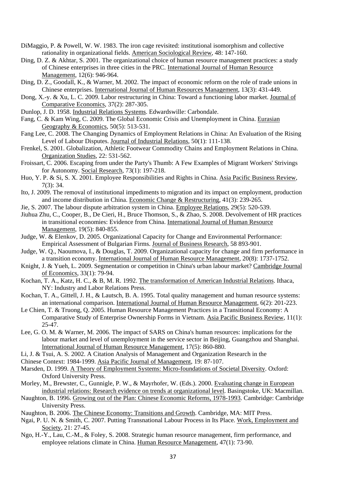- DiMaggio, P. & Powell, W. W. 1983. The iron cage revisited: institutional isomorphism and collective rationality in organizational fields. American Sociological Review, 48: 147-160.
- Ding, D. Z. & Akhtar, S. 2001. The organizational choice of human resource management practices: a study of Chinese enterprises in three cities in the PRC. International Journal of Human Resource Management, 12(6): 946-964.
- Ding, D. Z., Goodall, K., & Warner, M. 2002. The impact of economic reform on the role of trade unions in Chinese enterprises. International Journal of Human Resources Management, 13(3): 431-449.
- Dong, X.-y. & Xu, L. C. 2009. Labor restructuring in China: Toward a functioning labor market. Journal of Comparative Economics, 37(2): 287-305.
- Dunlop, J. D. 1958. Industrial Relations Systems. Edwardswille: Carbondale.
- Fang, C. & Kam Wing, C. 2009. The Global Economic Crisis and Unemployment in China. Eurasian Geography & Economics, 50(5): 513-531.
- Fang Lee, C. 2008. The Changing Dynamics of Employment Relations in China: An Evaluation of the Rising Level of Labour Disputes. Journal of Industrial Relations, 50(1): 111-138.
- Frenkel, S. 2001. Globalization, Athletic Footwear Commodity Chains and Employment Relations in China. Organization Studies, 22: 531-562.
- Froissart, C. 2006. Escaping from under the Party's Thumb: A Few Examples of Migrant Workers' Strivings for Autonomy. Social Research, 73(1): 197-218.
- Huo, Y. P. & Si, S. X. 2001. Employee Responsibilities and Rights in China. Asia Pacific Business Review, 7(3): 34.
- Ito, J. 2009. The removal of institutional impediments to migration and its impact on employment, production and income distribution in China. Economic Change & Restructuring, 41(3): 239-265.
- Jie, S. 2007. The labour dispute arbitration system in China. Employee Relations, 29(5): 520-539.
- Jiuhua Zhu, C., Cooper, B., De Cieri, H., Bruce Thomson, S., & Zhao, S. 2008. Devolvement of HR practices in transitional economies: Evidence from China. International Journal of Human Resource Management, 19(5): 840-855.
- Judge, W. & Elenkov, D. 2005. Organizational Capacity for Change and Environmental Performance: Empirical Assessment of Bulgarian Firms. Journal of Business Research, 58 893-901.
- Judge, W. Q., Naoumova, I., & Douglas, T. 2009. Organizational capacity for change and firm performance in a transition economy. International Journal of Human Resource Management, 20(8): 1737-1752.
- Knight, J. & Yueh, L. 2009. Segmentation or competition in China's urban labour market? Cambridge Journal of Economics, 33(1): 79-94.
- Kochan, T. A., Katz, H. C., & B, M. R. 1992. The transformation of American Industrial Relations. Ithaca, NY: Industry and Labor Relations Press.
- Kochan, T. A., Gittell, J. H., & Lautsch, B. A. 1995. Total quality management and human resource systems: an international comparison. International Journal of Human Resource Management, 6(2): 201-223.
- Le Chien, T. & Truong, Q. 2005. Human Resource Management Practices in a Transitional Economy: A Comparative Study of Enterprise Ownership Forms in Vietnam. Asia Pacific Business Review, 11(1): 25-47.
- Lee, G. O. M. & Warner, M. 2006. The impact of SARS on China's human resources: implications for the labour market and level of unemployment in the service sector in Beijing, Guangzhou and Shanghai. International Journal of Human Resource Management, 17(5): 860-880.
- Li, J. & Tsui, A. S. 2002. A Citation Analysis of Management and Organization Research in the
- Chinese Context: 1984-1999. Asia Pacific Journal of Management, 19: 87-107.
- Marsden, D. 1999. A Theory of Employment Systems: Micro-foundations of Societal Diversity. Oxford: Oxford University Press.
- Morley, M., Brewster, C., Gunnigle, P. W., & Mayrhofer, W. (Eds.). 2000. Evaluating change in European industrial relations: Research evidence on trends at organizational level. Basingstoke, UK: Macmillan.
- Naughton, B. 1996. Growing out of the Plan: Chinese Economic Reforms, 1978-1993. Cambridge: Cambridge University Press.
- Naughton, B. 2006. The Chinese Economy: Transitions and Growth. Cambridge, MA: MIT Press.
- Ngai, P. U. N. & Smith, C. 2007. Putting Transnational Labour Process in Its Place. Work, Employment and Society, 21: 27-45.
- Ngo, H.-Y., Lau, C.-M., & Foley, S. 2008. Strategic human resource management, firm performance, and employee relations climate in China. Human Resource Management, 47(1): 73-90.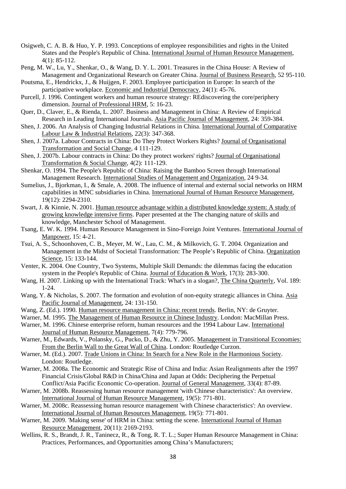- Osigweh, C. A. B. & Huo, Y. P. 1993. Conceptions of employee responsibilities and rights in the United States and the People's Republic of China. International Journal of Human Resource Management, 4(1): 85-112.
- Peng, M. W., Lu, Y., Shenkar, O., & Wang, D. Y. L. 2001. Treasures in the China House: A Review of Management and Organizational Research on Greater China. Journal of Business Research, 52 95-110.
- Poutsma, E., Hendrickx, J., & Huijgen, F. 2003. Employee participation in Europe: In search of the participative workplace. Economic and Industrial Democracy, 24(1): 45-76.
- Purcell, J. 1996. Contingent workers and human resource strategy: REdiscovering the core/periphery dimension. Journal of Professional HRM, 5: 16-23.
- Quer, D., Claver, E., & Rienda, L. 2007. Business and Management in China: A Review of Empirical Research in Leading International Journals. Asia Pacific Journal of Management, 24: 359-384.
- Shen, J. 2006. An Analysis of Changing Industrial Relations in China. International Journal of Comparative Labour Law & Industrial Relations, 22(3): 347-368.
- Shen, J. 2007a. Labour Contracts in China: Do They Protect Workers Rights? Journal of Organisational Transformation and Social Change, 4 111-129.
- Shen, J. 2007b. Labour contracts in China: Do they protect workers' rights? Journal of Organisational Transformation & Social Change, 4(2): 111-129.
- Shenkar, O. 1994. The People's Republic of China: Raising the Bamboo Screen through International Management Research. International Studies of Management and Organization, 24 9-34.
- Sumelius, J., Bjorkman, I., & Smale, A. 2008. The influence of internal and external social networks on HRM capabilities in MNC subsidiaries in China. International Journal of Human Resource Management, 19(12): 2294-2310.
- Swart, J. & Kinnie, N. 2001. Human resource advantage within a distributed knowledge system: A study of growing knowledge intensive firms. Paper presented at the The changing nature of skills and knowledge, Manchester School of Management.
- Tsang, E. W. K. 1994. Human Resource Management in Sino-Foreign Joint Ventures. International Journal of Manpower, 15: 4-21.
- Tsui, A. S., Schoonhoven, C. B., Meyer, M. W., Lau, C. M., & Milkovich, G. T. 2004. Organization and Management in the Midst of Societal Transformation: The People's Republic of China. Organization Science, 15: 133-144.
- Venter, K. 2004. One Country, Two Systems, Multiple Skill Demands: the dilemmas facing the education system in the People's Republic of China. Journal of Education & Work, 17(3): 283-300.
- Wang, H. 2007. Linking up with the International Track: What's in a slogan?, The China Quarterly, Vol. 189: 1-24.
- Wang, Y. & Nicholas, S. 2007. The formation and evolution of non-equity strategic alliances in China. Asia Pacific Journal of Management, 24: 131-150.
- Wang, Z. (Ed.). 1990. Human resource management in China: recent trends. Berlin, NY: de Gruyter.
- Warner, M. 1995. The Management of Human Resource in Chinese Industry. London: MacMillan Press.
- Warner, M. 1996. Chinese enterprise reform, human resources and the 1994 Labour Law. International Journal of Human Resource Management, 7(4): 779-796.
- Warner, M., Edwards, V., Polansky, G., Pucko, D., & Zhu, Y. 2005. Management in Transitional Economies: From the Berlin Wall to the Great Wall of China. London: Routledge Curzon.
- Warner, M. (Ed.). 2007. Trade Unions in China: In Search for a New Role in the Harmonious Society. London: Routledge.
- Warner, M. 2008a. The Economic and Strategic Rise of China and India: Asian Realignments after the 1997 Financial Crisis/Global R&D in China/China and Japan at Odds: Deciphering the Perpetual Conflict/Asia Pacific Economic Co-operation. Journal of General Management, 33(4): 87-89.
- Warner, M. 2008b. Reassessing human resource management 'with Chinese characteristics': An overview. International Journal of Human Resource Management, 19(5): 771-801.
- Warner, M. 2008c. Reassessing human resource management 'with Chinese characteristics': An overview. International Journal of Human Resources Management, 19(5): 771-801.
- Warner, M. 2009. 'Making sense' of HRM in China: setting the scene. International Journal of Human Resource Management, 20(11): 2169-2193.
- Wellins, R. S., Brandt, J. R., Taninecz, R., & Tong, R. T. L.; Super Human Resource Management in China: Practices, Performances, and Opportunities among China's Manufacturers;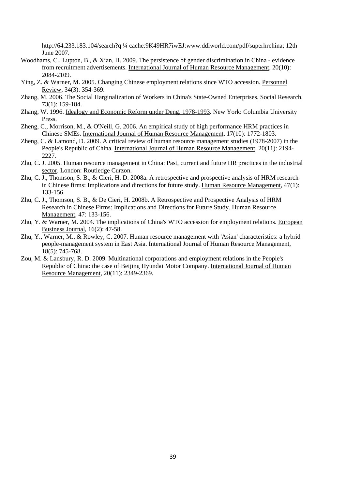http://64.233.183.104/search?q ¼ cache:9K49HR7iwEJ:www.ddiworld.com/pdf/superhrchina; 12th June 2007.

- Woodhams, C., Lupton, B., & Xian, H. 2009. The persistence of gender discrimination in China evidence from recruitment advertisements. International Journal of Human Resource Management, 20(10): 2084-2109.
- Ying, Z. & Warner, M. 2005. Changing Chinese employment relations since WTO accession. Personnel Review, 34(3): 354-369.
- Zhang, M. 2006. The Social Harginalization of Workers in China's State-Owned Enterprises. Social Research, 73(1): 159-184.
- Zhang, W. 1996. Idealogy and Economic Reform under Deng, 1978-1993. New York: Columbia University Press.
- Zheng, C., Morrison, M., & O'Neill, G. 2006. An empirical study of high performance HRM practices in Chinese SMEs. International Journal of Human Resource Management, 17(10): 1772-1803.
- Zheng, C. & Lamond, D. 2009. A critical review of human resource management studies (1978-2007) in the People's Republic of China. International Journal of Human Resource Management, 20(11): 2194- 2227.
- Zhu, C. J. 2005. Human resource management in China: Past, current and future HR practices in the industrial sector. London: Routledge Curzon.
- Zhu, C. J., Thomson, S. B., & Cieri, H. D. 2008a. A retrospective and prospective analysis of HRM research in Chinese firms: Implications and directions for future study. Human Resource Management, 47(1): 133-156.
- Zhu, C. J., Thomson, S. B., & De Cieri, H. 2008b. A Retrospective and Prospective Analysis of HRM Research in Chinese Firms: Implications and Directions for Future Study. Human Resource Management, 47: 133-156.
- Zhu, Y. & Warner, M. 2004. The implications of China's WTO accession for employment relations. European Business Journal, 16(2): 47-58.
- Zhu, Y., Warner, M., & Rowley, C. 2007. Human resource management with 'Asian' characteristics: a hybrid people-management system in East Asia. International Journal of Human Resource Management, 18(5): 745-768.
- Zou, M. & Lansbury, R. D. 2009. Multinational corporations and employment relations in the People's Republic of China: the case of Beijing Hyundai Motor Company. International Journal of Human Resource Management, 20(11): 2349-2369.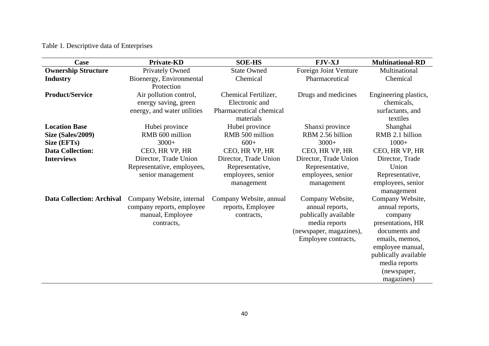## Table 1. Descriptive data of Enterprises

| Case                             | <b>Private-KD</b>                                                                        | <b>SOE-HS</b>                                                                  | <b>FJV-XJ</b>                                                                                                                  | <b>Multinational-RD</b>                                                                                                                                                                          |
|----------------------------------|------------------------------------------------------------------------------------------|--------------------------------------------------------------------------------|--------------------------------------------------------------------------------------------------------------------------------|--------------------------------------------------------------------------------------------------------------------------------------------------------------------------------------------------|
| <b>Ownership Structure</b>       | <b>Privately Owned</b>                                                                   | <b>State Owned</b>                                                             | Foreign Joint Venture                                                                                                          | Multinational                                                                                                                                                                                    |
| <b>Industry</b>                  | Bioenergy, Environmental<br>Protection                                                   | Chemical                                                                       | Pharmaceutical                                                                                                                 | Chemical                                                                                                                                                                                         |
| <b>Product/Service</b>           | Air pollution control,<br>energy saving, green<br>energy, and water utilities            | Chemical Fertilizer,<br>Electronic and<br>Pharmaceutical chemical<br>materials | Drugs and medicines                                                                                                            | Engineering plastics,<br>chemicals,<br>surfactants, and<br>textiles                                                                                                                              |
| <b>Location Base</b>             | Hubei province                                                                           | Hubei province                                                                 | Shanxi province                                                                                                                | Shanghai                                                                                                                                                                                         |
| <b>Size (Sales/2009)</b>         | RMB 600 million                                                                          | RMB 500 million                                                                | RBM 2.56 billion                                                                                                               | RMB 2.1 billion                                                                                                                                                                                  |
| Size (EFTs)                      | $3000+$                                                                                  | $600+$                                                                         | $3000+$                                                                                                                        | $1000+$                                                                                                                                                                                          |
| <b>Data Collection:</b>          | CEO, HR VP, HR                                                                           | CEO, HR VP, HR                                                                 | CEO, HR VP, HR                                                                                                                 | CEO, HR VP, HR                                                                                                                                                                                   |
| <b>Interviews</b>                | Director, Trade Union<br>Representative, employees,<br>senior management                 | Director, Trade Union<br>Representative,<br>employees, senior<br>management    | Director, Trade Union<br>Representative,<br>employees, senior<br>management                                                    | Director, Trade<br>Union<br>Representative,<br>employees, senior<br>management                                                                                                                   |
| <b>Data Collection: Archival</b> | Company Website, internal<br>company reports, employee<br>manual, Employee<br>contracts, | Company Website, annual<br>reports, Employee<br>contracts,                     | Company Website,<br>annual reports,<br>publically available<br>media reports<br>(newspaper, magazines),<br>Employee contracts, | Company Website,<br>annual reports,<br>company<br>presentations, HR<br>documents and<br>emails, memos,<br>employee manual,<br>publically available<br>media reports<br>(newspaper,<br>magazines) |